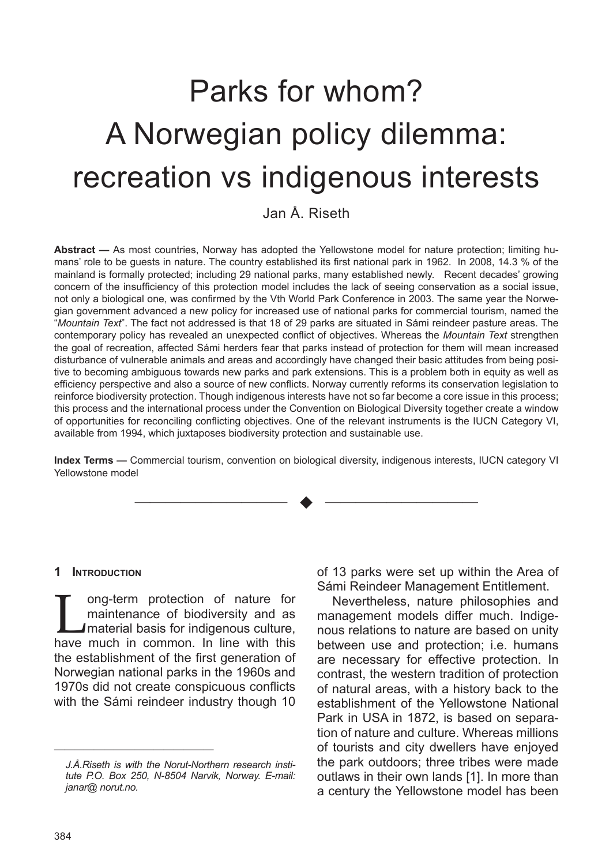# Parks for whom? A Norwegian policy dilemma: recreation vs indigenous interests

Jan Å. Riseth

**Abstract —** As most countries, Norway has adopted the Yellowstone model for nature protection; limiting humans' role to be guests in nature. The country established its first national park in 1962. In 2008, 14.3 % of the mainland is formally protected; including 29 national parks, many established newly. Recent decades' growing concern of the insufficiency of this protection model includes the lack of seeing conservation as a social issue, not only a biological one, was confirmed by the Vth World Park Conference in 2003. The same year the Norwegian government advanced a new policy for increased use of national parks for commercial tourism, named the "*Mountain Text*". The fact not addressed is that 18 of 29 parks are situated in Sámi reindeer pasture areas. The contemporary policy has revealed an unexpected conflict of objectives. Whereas the *Mountain Text* strengthen the goal of recreation, affected Sámi herders fear that parks instead of protection for them will mean increased disturbance of vulnerable animals and areas and accordingly have changed their basic attitudes from being positive to becoming ambiguous towards new parks and park extensions. This is a problem both in equity as well as efficiency perspective and also a source of new conflicts. Norway currently reforms its conservation legislation to reinforce biodiversity protection. Though indigenous interests have not so far become a core issue in this process; this process and the international process under the Convention on Biological Diversity together create a window of opportunities for reconciling conflicting objectives. One of the relevant instruments is the IUCN Category VI, available from 1994, which juxtaposes biodiversity protection and sustainable use.

**Index Terms —** Commercial tourism, convention on biological diversity, indigenous interests, IUCN category VI Yellowstone model

—————————— u ——————————

#### **1 Introduction**

I ong-term protection of nature for<br>
maintenance of biodiversity and as<br>
material basis for indigenous culture,<br>
have much in common, In line with this maintenance of biodiversity and as have much in common. In line with this the establishment of the first generation of Norwegian national parks in the 1960s and 1970s did not create conspicuous conflicts with the Sámi reindeer industry though 10

—————————————————————————————

of 13 parks were set up within the Area of Sámi Reindeer Management Entitlement.

Nevertheless, nature philosophies and management models differ much. Indigenous relations to nature are based on unity between use and protection; i.e. humans are necessary for effective protection. In contrast, the western tradition of protection of natural areas, with a history back to the establishment of the Yellowstone National Park in USA in 1872, is based on separation of nature and culture. Whereas millions of tourists and city dwellers have enjoyed the park outdoors; three tribes were made outlaws in their own lands [1]. In more than a century the Yellowstone model has been

*J.Å.Riseth is with the Norut-Northern research institute P.O. Box 250, N-8504 Narvik, Norway. E-mail: janar@ norut.no.*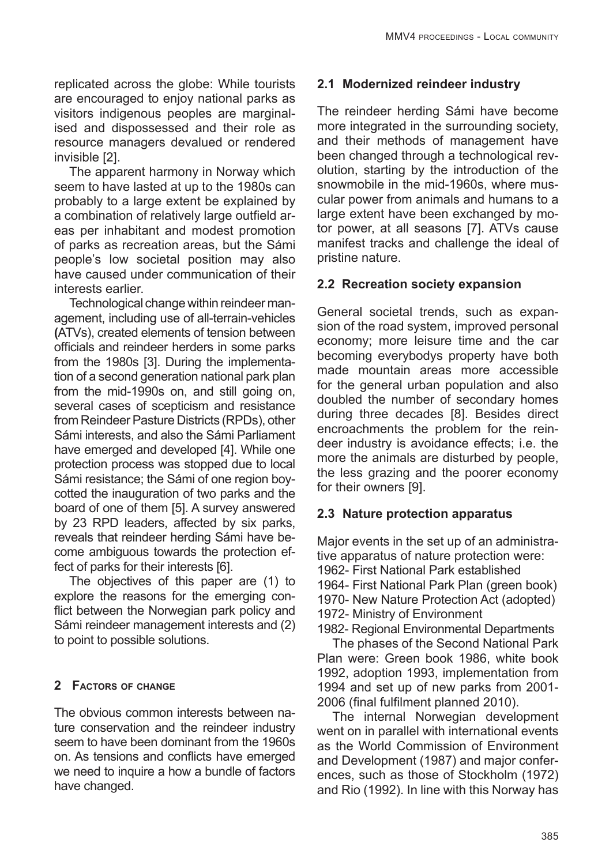replicated across the globe: While tourists are encouraged to enjoy national parks as visitors indigenous peoples are marginalised and dispossessed and their role as resource managers devalued or rendered invisible [2].

The apparent harmony in Norway which seem to have lasted at up to the 1980s can probably to a large extent be explained by a combination of relatively large outfield areas per inhabitant and modest promotion of parks as recreation areas, but the Sámi people's low societal position may also have caused under communication of their interests earlier.

Technological change within reindeer management, including use of all-terrain-vehicles **(**ATVs), created elements of tension between officials and reindeer herders in some parks from the 1980s [3]. During the implementation of a second generation national park plan from the mid-1990s on, and still going on, several cases of scepticism and resistance from Reindeer Pasture Districts (RPDs), other Sámi interests, and also the Sámi Parliament have emerged and developed [4]. While one protection process was stopped due to local Sámi resistance; the Sámi of one region boycotted the inauguration of two parks and the board of one of them [5]. A survey answered by 23 RPD leaders, affected by six parks, reveals that reindeer herding Sámi have become ambiguous towards the protection effect of parks for their interests [6].

The objectives of this paper are (1) to explore the reasons for the emerging conflict between the Norwegian park policy and Sámi reindeer management interests and (2) to point to possible solutions.

## **2 Factors of change**

The obvious common interests between nature conservation and the reindeer industry seem to have been dominant from the 1960s on. As tensions and conflicts have emerged we need to inquire a how a bundle of factors have changed.

# **2.1 Modernized reindeer industry**

The reindeer herding Sámi have become more integrated in the surrounding society, and their methods of management have been changed through a technological revolution, starting by the introduction of the snowmobile in the mid-1960s, where muscular power from animals and humans to a large extent have been exchanged by motor power, at all seasons [7]. ATVs cause manifest tracks and challenge the ideal of pristine nature.

# **2.2 Recreation society expansion**

General societal trends, such as expansion of the road system, improved personal economy; more leisure time and the car becoming everybodys property have both made mountain areas more accessible for the general urban population and also doubled the number of secondary homes during three decades [8]. Besides direct encroachments the problem for the reindeer industry is avoidance effects; i.e. the more the animals are disturbed by people, the less grazing and the poorer economy for their owners [9].

# **2.3 Nature protection apparatus**

Major events in the set up of an administrative apparatus of nature protection were: 1962- First National Park established 1964- First National Park Plan (green book) 1970- New Nature Protection Act (adopted) 1972- Ministry of Environment 1982- Regional Environmental Departments The phases of the Second National Park Plan were: Green book 1986, white book

1992, adoption 1993, implementation from 1994 and set up of new parks from 2001- 2006 (final fulfilment planned 2010).

The internal Norwegian development went on in parallel with international events as the World Commission of Environment and Development (1987) and major conferences, such as those of Stockholm (1972) and Rio (1992). In line with this Norway has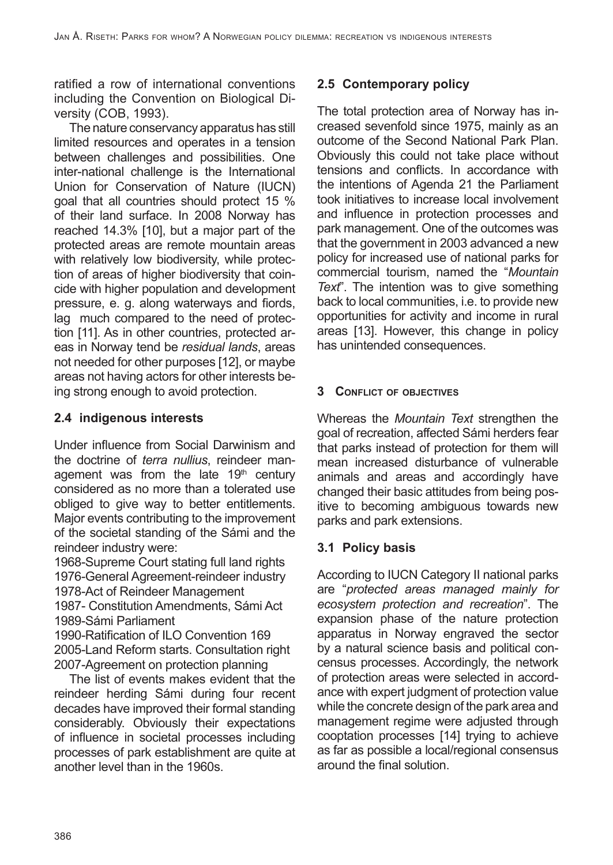ratified a row of international conventions including the Convention on Biological Diversity (COB, 1993).

The nature conservancy apparatus has still limited resources and operates in a tension between challenges and possibilities. One inter-national challenge is the International Union for Conservation of Nature (IUCN) goal that all countries should protect 15 % of their land surface. In 2008 Norway has reached 14.3% [10], but a major part of the protected areas are remote mountain areas with relatively low biodiversity, while protection of areas of higher biodiversity that coincide with higher population and development pressure, e. g. along waterways and fiords, lag much compared to the need of protection [11]. As in other countries, protected areas in Norway tend be *residual lands*, areas not needed for other purposes [12], or maybe areas not having actors for other interests being strong enough to avoid protection.

## **2.4 indigenous interests**

Under influence from Social Darwinism and the doctrine of *terra nullius*, reindeer management was from the late  $19<sup>th</sup>$  century considered as no more than a tolerated use obliged to give way to better entitlements. Major events contributing to the improvement of the societal standing of the Sámi and the reindeer industry were:

1968-Supreme Court stating full land rights 1976-General Agreement-reindeer industry 1978-Act of Reindeer Management

1987- Constitution Amendments, Sámi Act 1989-Sámi Parliament

1990-Ratification of ILO Convention 169 2005-Land Reform starts. Consultation right 2007-Agreement on protection planning

The list of events makes evident that the reindeer herding Sámi during four recent decades have improved their formal standing considerably. Obviously their expectations of influence in societal processes including processes of park establishment are quite at another level than in the 1960s.

## **2.5 Contemporary policy**

The total protection area of Norway has increased sevenfold since 1975, mainly as an outcome of the Second National Park Plan. Obviously this could not take place without tensions and conflicts. In accordance with the intentions of Agenda 21 the Parliament took initiatives to increase local involvement and influence in protection processes and park management. One of the outcomes was that the government in 2003 advanced a new policy for increased use of national parks for commercial tourism, named the "*Mountain Text*". The intention was to give something back to local communities, i.e. to provide new opportunities for activity and income in rural areas [13]. However, this change in policy has unintended consequences.

## **3 Conflict of objectives**

Whereas the *Mountain Text* strengthen the goal of recreation, affected Sámi herders fear that parks instead of protection for them will mean increased disturbance of vulnerable animals and areas and accordingly have changed their basic attitudes from being positive to becoming ambiguous towards new parks and park extensions.

## **3.1 Policy basis**

According to IUCN Category II national parks are "*protected areas managed mainly for ecosystem protection and recreation*". The expansion phase of the nature protection apparatus in Norway engraved the sector by a natural science basis and political concensus processes. Accordingly, the network of protection areas were selected in accordance with expert judgment of protection value while the concrete design of the park area and management regime were adjusted through cooptation processes [14] trying to achieve as far as possible a local/regional consensus around the final solution.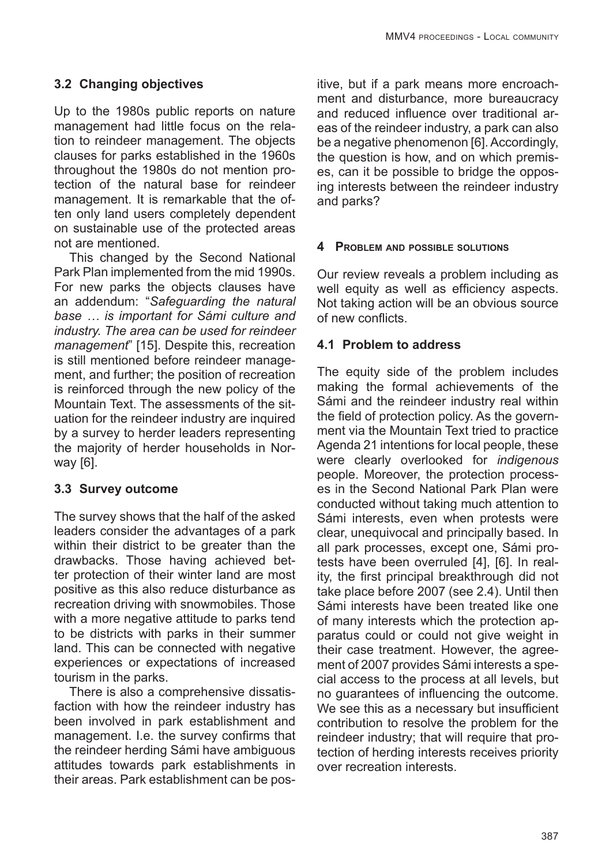#### **3.2 Changing objectives**

Up to the 1980s public reports on nature management had little focus on the relation to reindeer management. The objects clauses for parks established in the 1960s throughout the 1980s do not mention protection of the natural base for reindeer management. It is remarkable that the often only land users completely dependent on sustainable use of the protected areas not are mentioned.

This changed by the Second National Park Plan implemented from the mid 1990s. For new parks the objects clauses have an addendum: "*Safeguarding the natural base … is important for Sámi culture and industry. The area can be used for reindeer management*" [15]. Despite this, recreation is still mentioned before reindeer management, and further; the position of recreation is reinforced through the new policy of the Mountain Text. The assessments of the situation for the reindeer industry are inquired by a survey to herder leaders representing the majority of herder households in Norway [6].

#### **3.3 Survey outcome**

The survey shows that the half of the asked leaders consider the advantages of a park within their district to be greater than the drawbacks. Those having achieved better protection of their winter land are most positive as this also reduce disturbance as recreation driving with snowmobiles. Those with a more negative attitude to parks tend to be districts with parks in their summer land. This can be connected with negative experiences or expectations of increased tourism in the parks.

There is also a comprehensive dissatisfaction with how the reindeer industry has been involved in park establishment and management. I.e. the survey confirms that the reindeer herding Sámi have ambiguous attitudes towards park establishments in their areas. Park establishment can be positive, but if a park means more encroachment and disturbance, more bureaucracy and reduced influence over traditional areas of the reindeer industry, a park can also be a negative phenomenon [6]. Accordingly, the question is how, and on which premises, can it be possible to bridge the opposing interests between the reindeer industry and parks?

#### **4 Problem and possible solutions**

Our review reveals a problem including as well equity as well as efficiency aspects. Not taking action will be an obvious source of new conflicts.

#### **4.1 Problem to address**

The equity side of the problem includes making the formal achievements of the Sámi and the reindeer industry real within the field of protection policy. As the government via the Mountain Text tried to practice Agenda 21 intentions for local people, these were clearly overlooked for *indigenous* people. Moreover, the protection processes in the Second National Park Plan were conducted without taking much attention to Sámi interests, even when protests were clear, unequivocal and principally based. In all park processes, except one, Sámi protests have been overruled [4], [6]. In reality, the first principal breakthrough did not take place before 2007 (see 2.4). Until then Sámi interests have been treated like one of many interests which the protection apparatus could or could not give weight in their case treatment. However, the agreement of 2007 provides Sámi interests a special access to the process at all levels, but no guarantees of influencing the outcome. We see this as a necessary but insufficient contribution to resolve the problem for the reindeer industry; that will require that protection of herding interests receives priority over recreation interests.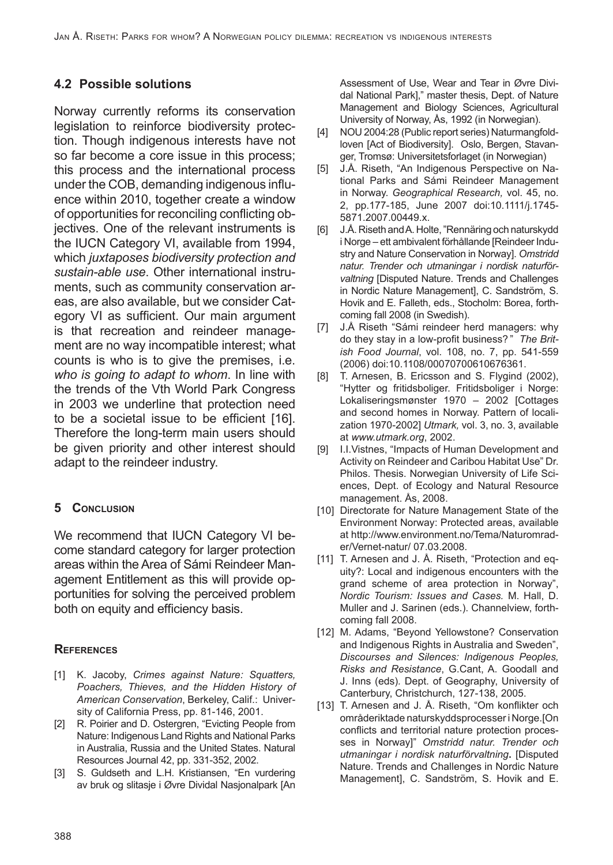# **4.2 Possible solutions**

Norway currently reforms its conservation legislation to reinforce biodiversity protection. Though indigenous interests have not so far become a core issue in this process; this process and the international process under the COB, demanding indigenous influence within 2010, together create a window of opportunities for reconciling conflicting objectives. One of the relevant instruments is the IUCN Category VI, available from 1994, which *juxtaposes biodiversity protection and sustain-able use*. Other international instruments, such as community conservation areas, are also available, but we consider Category VI as sufficient. Our main argument is that recreation and reindeer management are no way incompatible interest; what counts is who is to give the premises, i.e. *who is going to adapt to whom*. In line with the trends of the Vth World Park Congress in 2003 we underline that protection need to be a societal issue to be efficient [16]. Therefore the long-term main users should be given priority and other interest should adapt to the reindeer industry.

## **5 Conclusion**

We recommend that IUCN Category VI become standard category for larger protection areas within the Area of Sámi Reindeer Management Entitlement as this will provide opportunities for solving the perceived problem both on equity and efficiency basis.

#### **References**

- [1] K. Jacoby, *Crimes against Nature: Squatters, Poachers, Thieves, and the Hidden History of American Conservation*, Berkeley, Calif.: University of California Press, pp. 81-146, 2001.
- [2] R. Poirier and D. Ostergren, "Evicting People from Nature: Indigenous Land Rights and National Parks in Australia, Russia and the United States. Natural Resources Journal 42, pp. 331-352, 2002.
- [3] S. Guldseth and L.H. Kristiansen, "En vurdering av bruk og slitasje i Øvre Dividal Nasjonalpark [An

Assessment of Use, Wear and Tear in Øvre Dividal National Park]," master thesis, Dept. of Nature Management and Biology Sciences, Agricultural University of Norway, Ås, 1992 (in Norwegian).

- [4] NOU 2004:28 (Public report series) Naturmangfoldloven [Act of Biodiversity]. Oslo, Bergen, Stavanger, Tromsø: Universitetsforlaget (in Norwegian)
- [5] J.Å. Riseth, "An Indigenous Perspective on National Parks and Sámi Reindeer Management in Norway. *Geographical Research,* vol. 45, no. 2, pp.177-185, June 2007 doi:10.1111/j.1745- 5871.2007.00449.x.
- [6] J.Å. Riseth and A. Holte, "Rennäring och naturskydd i Norge – ett ambivalent förhållande [Reindeer Industry and Nature Conservation in Norway]. *Omstridd natur. Trender och utmaningar i nordisk naturförvaltning* [Disputed Nature. Trends and Challenges in Nordic Nature Management], C. Sandström, S. Hovik and E. Falleth, eds., Stocholm: Borea, forthcoming fall 2008 (in Swedish).
- [7] J.Å Riseth "Sámi reindeer herd managers: why do they stay in a low-profit business? " *The British Food Journal*, vol. 108, no. 7, pp. 541-559 (2006) doi:10.1108/00070700610676361.
- [8] T. Arnesen, B. Ericsson and S. Flygind (2002), "Hytter og fritidsboliger. Fritidsboliger i Norge: Lokaliseringsmønster 1970 – 2002 [Cottages and second homes in Norway. Pattern of localization 1970-2002] *Utmark,* vol. 3, no. 3, available at *www.utmark.org*, 2002.
- [9] I.I.Vistnes, "Impacts of Human Development and Activity on Reindeer and Caribou Habitat Use" Dr. Philos. Thesis. Norwegian University of Life Sciences, Dept. of Ecology and Natural Resource management. Ås, 2008.
- [10] Directorate for Nature Management State of the Environment Norway: Protected areas, available at http://www.environment.no/Tema/Naturomrader/Vernet-natur/ 07.03.2008.
- [11] T. Arnesen and J. Å. Riseth, "Protection and equity?: Local and indigenous encounters with the grand scheme of area protection in Norway", *Nordic Tourism: Issues and Cases.* M. Hall, D. Muller and J. Sarinen (eds.). Channelview, forthcoming fall 2008.
- [12] M. Adams, "Beyond Yellowstone? Conservation and Indigenous Rights in Australia and Sweden", *Discourses and Silences: Indigenous Peoples, Risks and Resistance*, G.Cant, A. Goodall and J. Inns (eds)*.* Dept. of Geography, University of Canterbury, Christchurch, 127-138, 2005.
- [13] T. Arnesen and J. Å. Riseth, "Om konflikter och områderiktade naturskyddsprocesser i Norge.[On conflicts and territorial nature protection processes in Norway]" *Omstridd natur. Trender och utmaningar i nordisk naturförvaltning***.** [Disputed Nature. Trends and Challenges in Nordic Nature Management], C. Sandström, S. Hovik and E.